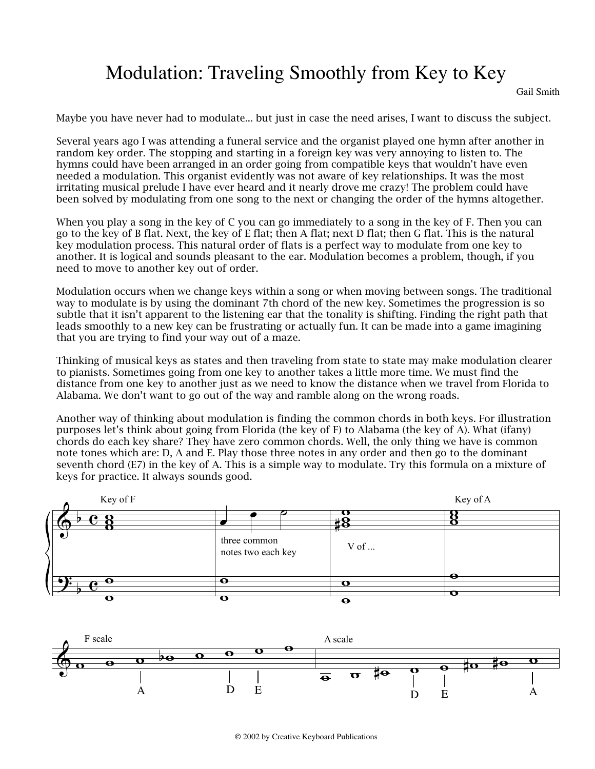## Modulation: Traveling Smoothly from Key to Key

Gail Smith

Maybe you have never had to modulate... but just in case the need arises, I want to discuss the subject.

Several years ago I was attending a funeral service and the organist played one hymn after another in random key order. The stopping and starting in a foreign key was very annoying to listen to. The hymns could have been arranged in an order going from compatible keys that wouldn't have even needed a modulation. This organist evidently was not aware of key relationships. It was the most irritating musical prelude I have ever heard and it nearly drove me crazy! The problem could have been solved by modulating from one song to the next or changing the order of the hymns altogether.

When you play a song in the key of C you can go immediately to a song in the key of F. Then you can go to the key of B flat. Next, the key of E flat; then A flat; next D flat; then G flat. This is the natural key modulation process. This natural order of flats is a perfect way to modulate from one key to another. It is logical and sounds pleasant to the ear. Modulation becomes a problem, though, if you need to move to another key out of order.

Modulation occurs when we change keys within a song or when moving between songs. The traditional way to modulate is by using the dominant 7th chord of the new key. Sometimes the progression is so subtle that it isn't apparent to the listening ear that the tonality is shifting. Finding the right path that leads smoothly to a new key can be frustrating or actually fun. It can be made into a game imagining that you are trying to find your way out of a maze.

Thinking of musical keys as states and then traveling from state to state may make modulation clearer to pianists. Sometimes going from one key to another takes a little more time. We must find the distance from one key to another just as we need to know the distance when we travel from Florida to Alabama. We don't want to go out of the way and ramble along on the wrong roads.

Another way of thinking about modulation is finding the common chords in both keys. For illustration purposes let's think about going from Florida (the key of F) to Alabama (the key of A). What (ifany) chords do each key share? They have zero common chords. Well, the only thing we have is common note tones which are: D, A and E. Play those three notes in any order and then go to the dominant seventh chord (E7) in the key of A. This is a simple way to modulate. Try this formula on a mixture of keys for practice. It always sounds good.



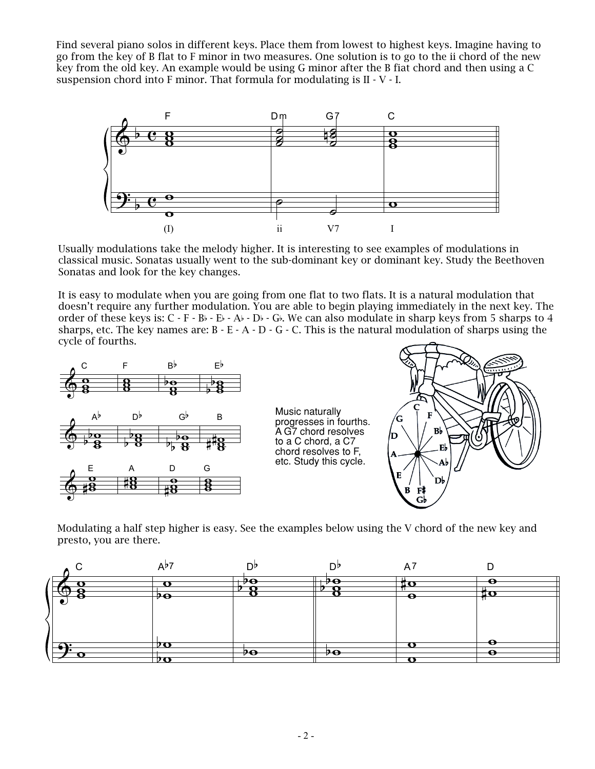Find several piano solos in different keys. Place them from lowest to highest keys. Imagine having to go from the key of B flat to F minor in two measures. One solution is to go to the ii chord of the new key from the old key. An example would be using G minor after the B fiat chord and then using a C suspension chord into F minor. That formula for modulating is II - V - I.



Usually modulations take the melody higher. It is interesting to see examples of modulations in classical music. Sonatas usually went to the sub-dominant key or dominant key. Study the Beethoven Sonatas and look for the key changes.

It is easy to modulate when you are going from one flat to two flats. It is a natural modulation that doesn't require any further modulation. You are able to begin playing immediately in the next key. The order of these keys is:  $C - F - B$ b -  $E$ b -  $A$ b -  $D$ b -  $G$ b. We can also modulate in sharp keys from 5 sharps to 4 sharps, etc. The key names are:  $B - E - A - D - G - C$ . This is the natural modulation of sharps using the cycle of fourths.



Modulating a half step higher is easy. See the examples below using the V chord of the new key and presto, you are there.

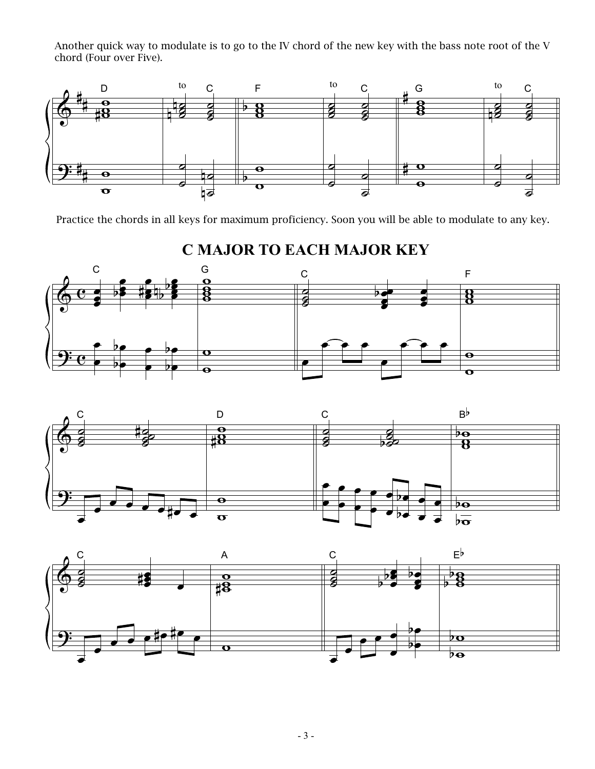Another quick way to modulate is to go to the IV chord of the new key with the bass note root of the V chord (Four over Five).



Practice the chords in all keys for maximum proficiency. Soon you will be able to modulate to any key.







**C MAJOR TO EACH MAJOR KEY**